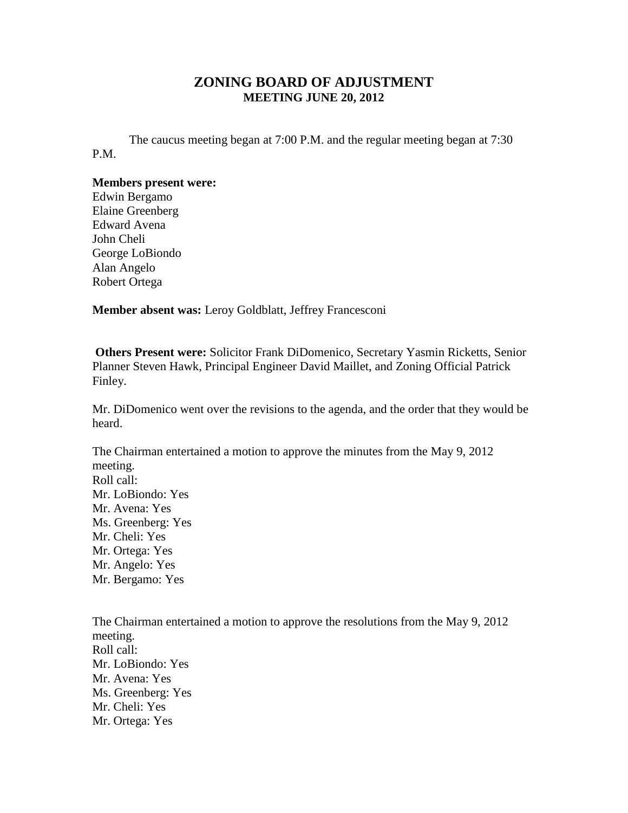## **ZONING BOARD OF ADJUSTMENT MEETING JUNE 20, 2012**

The caucus meeting began at 7:00 P.M. and the regular meeting began at 7:30 P.M.

## **Members present were:**

Edwin Bergamo Elaine Greenberg Edward Avena John Cheli George LoBiondo Alan Angelo Robert Ortega

**Member absent was:** Leroy Goldblatt, Jeffrey Francesconi

**Others Present were:** Solicitor Frank DiDomenico, Secretary Yasmin Ricketts, Senior Planner Steven Hawk, Principal Engineer David Maillet, and Zoning Official Patrick Finley.

Mr. DiDomenico went over the revisions to the agenda, and the order that they would be heard.

The Chairman entertained a motion to approve the minutes from the May 9, 2012 meeting. Roll call: Mr. LoBiondo: Yes Mr. Avena: Yes Ms. Greenberg: Yes Mr. Cheli: Yes Mr. Ortega: Yes Mr. Angelo: Yes Mr. Bergamo: Yes

The Chairman entertained a motion to approve the resolutions from the May 9, 2012 meeting. Roll call: Mr. LoBiondo: Yes Mr. Avena: Yes Ms. Greenberg: Yes Mr. Cheli: Yes Mr. Ortega: Yes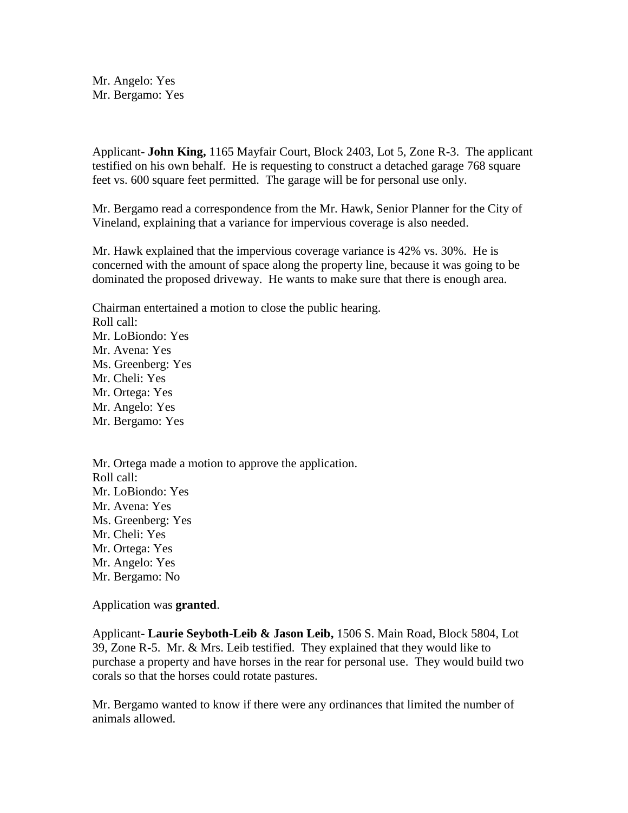Mr. Angelo: Yes Mr. Bergamo: Yes

Applicant- **John King,** 1165 Mayfair Court, Block 2403, Lot 5, Zone R-3. The applicant testified on his own behalf. He is requesting to construct a detached garage 768 square feet vs. 600 square feet permitted. The garage will be for personal use only.

Mr. Bergamo read a correspondence from the Mr. Hawk, Senior Planner for the City of Vineland, explaining that a variance for impervious coverage is also needed.

Mr. Hawk explained that the impervious coverage variance is 42% vs. 30%. He is concerned with the amount of space along the property line, because it was going to be dominated the proposed driveway. He wants to make sure that there is enough area.

Chairman entertained a motion to close the public hearing. Roll call: Mr. LoBiondo: Yes Mr. Avena: Yes Ms. Greenberg: Yes Mr. Cheli: Yes Mr. Ortega: Yes Mr. Angelo: Yes Mr. Bergamo: Yes

Mr. Ortega made a motion to approve the application. Roll call: Mr. LoBiondo: Yes Mr. Avena: Yes Ms. Greenberg: Yes Mr. Cheli: Yes Mr. Ortega: Yes Mr. Angelo: Yes Mr. Bergamo: No

Application was **granted**.

Applicant- **Laurie Seyboth-Leib & Jason Leib,** 1506 S. Main Road, Block 5804, Lot 39, Zone R-5. Mr. & Mrs. Leib testified. They explained that they would like to purchase a property and have horses in the rear for personal use. They would build two corals so that the horses could rotate pastures.

Mr. Bergamo wanted to know if there were any ordinances that limited the number of animals allowed.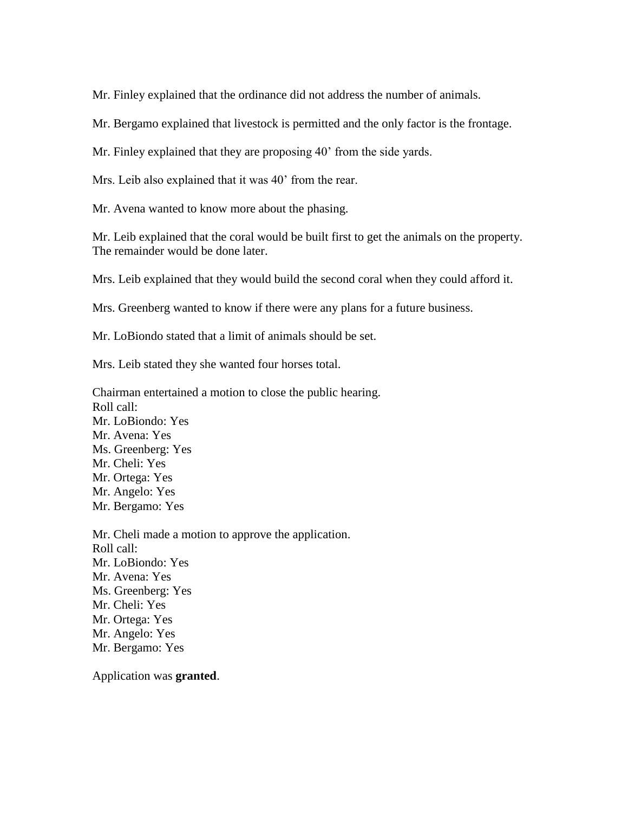Mr. Finley explained that the ordinance did not address the number of animals.

Mr. Bergamo explained that livestock is permitted and the only factor is the frontage.

Mr. Finley explained that they are proposing 40' from the side yards.

Mrs. Leib also explained that it was 40' from the rear.

Mr. Avena wanted to know more about the phasing.

Mr. Leib explained that the coral would be built first to get the animals on the property. The remainder would be done later.

Mrs. Leib explained that they would build the second coral when they could afford it.

Mrs. Greenberg wanted to know if there were any plans for a future business.

Mr. LoBiondo stated that a limit of animals should be set.

Mrs. Leib stated they she wanted four horses total.

Chairman entertained a motion to close the public hearing. Roll call: Mr. LoBiondo: Yes Mr. Avena: Yes Ms. Greenberg: Yes Mr. Cheli: Yes Mr. Ortega: Yes Mr. Angelo: Yes Mr. Bergamo: Yes

Mr. Cheli made a motion to approve the application. Roll call: Mr. LoBiondo: Yes Mr. Avena: Yes Ms. Greenberg: Yes Mr. Cheli: Yes Mr. Ortega: Yes Mr. Angelo: Yes Mr. Bergamo: Yes

Application was **granted**.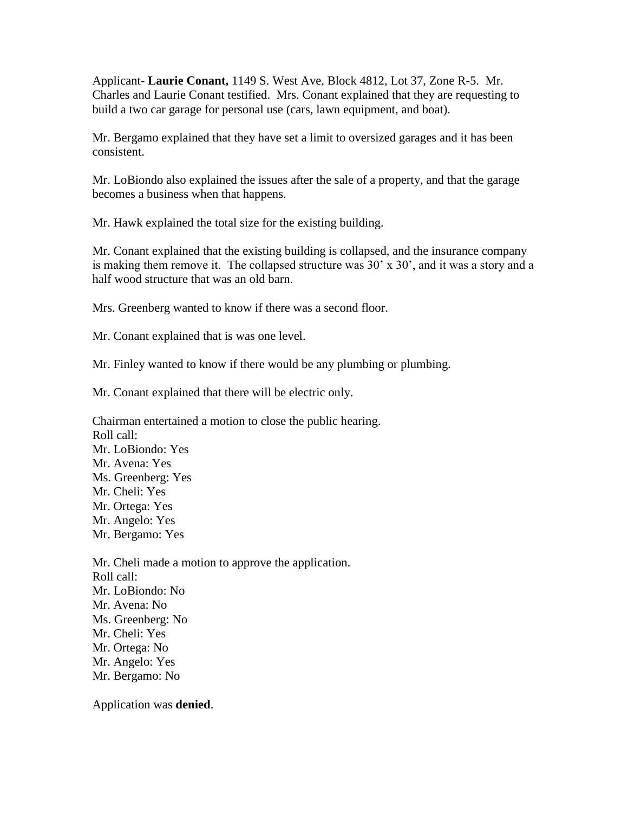Applicant- **Laurie Conant,** 1149 S. West Ave, Block 4812, Lot 37, Zone R-5. Mr. Charles and Laurie Conant testified. Mrs. Conant explained that they are requesting to build a two car garage for personal use (cars, lawn equipment, and boat).

Mr. Bergamo explained that they have set a limit to oversized garages and it has been consistent.

Mr. LoBiondo also explained the issues after the sale of a property, and that the garage becomes a business when that happens.

Mr. Hawk explained the total size for the existing building.

Mr. Conant explained that the existing building is collapsed, and the insurance company is making them remove it. The collapsed structure was 30' x 30', and it was a story and a half wood structure that was an old barn.

Mrs. Greenberg wanted to know if there was a second floor.

Mr. Conant explained that is was one level.

Mr. Finley wanted to know if there would be any plumbing or plumbing.

Mr. Conant explained that there will be electric only.

Chairman entertained a motion to close the public hearing. Roll call: Mr. LoBiondo: Yes Mr. Avena: Yes Ms. Greenberg: Yes Mr. Cheli: Yes Mr. Ortega: Yes Mr. Angelo: Yes Mr. Bergamo: Yes

Mr. Cheli made a motion to approve the application. Roll call: Mr. LoBiondo: No Mr. Avena: No Ms. Greenberg: No Mr. Cheli: Yes Mr. Ortega: No Mr. Angelo: Yes Mr. Bergamo: No

Application was **denied**.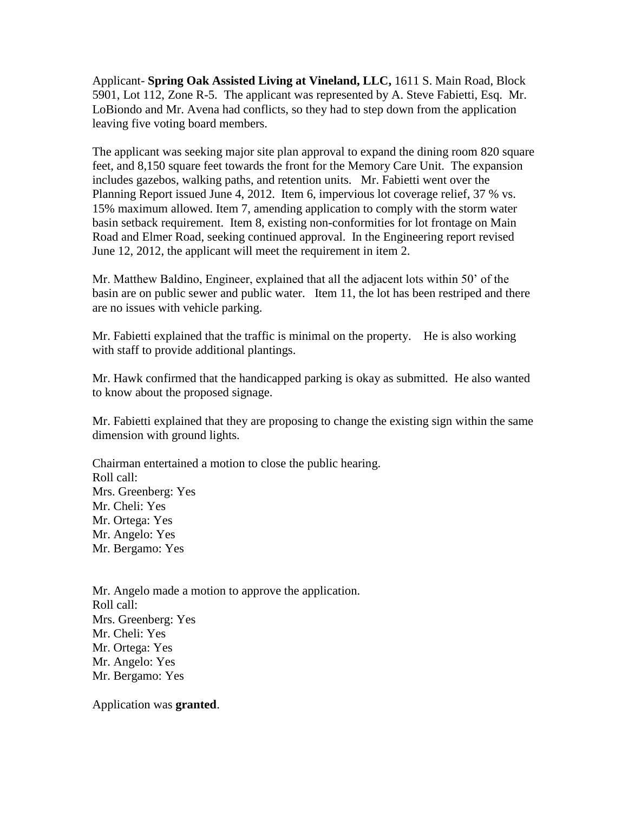Applicant- **Spring Oak Assisted Living at Vineland, LLC,** 1611 S. Main Road, Block 5901, Lot 112, Zone R-5. The applicant was represented by A. Steve Fabietti, Esq. Mr. LoBiondo and Mr. Avena had conflicts, so they had to step down from the application leaving five voting board members.

The applicant was seeking major site plan approval to expand the dining room 820 square feet, and 8,150 square feet towards the front for the Memory Care Unit. The expansion includes gazebos, walking paths, and retention units. Mr. Fabietti went over the Planning Report issued June 4, 2012. Item 6, impervious lot coverage relief, 37 % vs. 15% maximum allowed. Item 7, amending application to comply with the storm water basin setback requirement. Item 8, existing non-conformities for lot frontage on Main Road and Elmer Road, seeking continued approval. In the Engineering report revised June 12, 2012, the applicant will meet the requirement in item 2.

Mr. Matthew Baldino, Engineer, explained that all the adjacent lots within 50' of the basin are on public sewer and public water. Item 11, the lot has been restriped and there are no issues with vehicle parking.

Mr. Fabietti explained that the traffic is minimal on the property. He is also working with staff to provide additional plantings.

Mr. Hawk confirmed that the handicapped parking is okay as submitted. He also wanted to know about the proposed signage.

Mr. Fabietti explained that they are proposing to change the existing sign within the same dimension with ground lights.

Chairman entertained a motion to close the public hearing. Roll call: Mrs. Greenberg: Yes Mr. Cheli: Yes Mr. Ortega: Yes Mr. Angelo: Yes Mr. Bergamo: Yes

Mr. Angelo made a motion to approve the application. Roll call: Mrs. Greenberg: Yes Mr. Cheli: Yes Mr. Ortega: Yes Mr. Angelo: Yes Mr. Bergamo: Yes

Application was **granted**.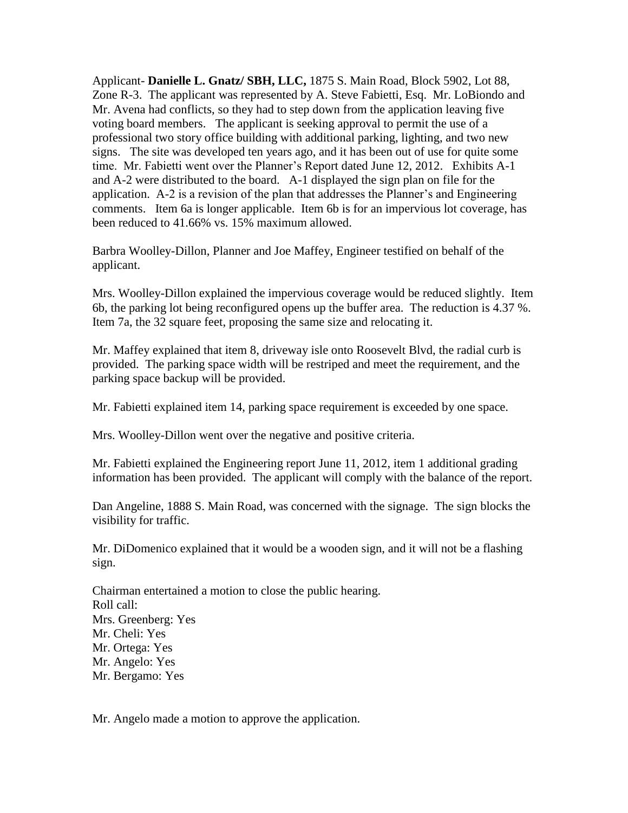Applicant- **Danielle L. Gnatz/ SBH, LLC,** 1875 S. Main Road, Block 5902, Lot 88, Zone R-3. The applicant was represented by A. Steve Fabietti, Esq. Mr. LoBiondo and Mr. Avena had conflicts, so they had to step down from the application leaving five voting board members. The applicant is seeking approval to permit the use of a professional two story office building with additional parking, lighting, and two new signs. The site was developed ten years ago, and it has been out of use for quite some time. Mr. Fabietti went over the Planner's Report dated June 12, 2012. Exhibits A-1 and A-2 were distributed to the board. A-1 displayed the sign plan on file for the application. A-2 is a revision of the plan that addresses the Planner's and Engineering comments. Item 6a is longer applicable. Item 6b is for an impervious lot coverage, has been reduced to 41.66% vs. 15% maximum allowed.

Barbra Woolley-Dillon, Planner and Joe Maffey, Engineer testified on behalf of the applicant.

Mrs. Woolley-Dillon explained the impervious coverage would be reduced slightly. Item 6b, the parking lot being reconfigured opens up the buffer area. The reduction is 4.37 %. Item 7a, the 32 square feet, proposing the same size and relocating it.

Mr. Maffey explained that item 8, driveway isle onto Roosevelt Blvd, the radial curb is provided. The parking space width will be restriped and meet the requirement, and the parking space backup will be provided.

Mr. Fabietti explained item 14, parking space requirement is exceeded by one space.

Mrs. Woolley-Dillon went over the negative and positive criteria.

Mr. Fabietti explained the Engineering report June 11, 2012, item 1 additional grading information has been provided. The applicant will comply with the balance of the report.

Dan Angeline, 1888 S. Main Road, was concerned with the signage. The sign blocks the visibility for traffic.

Mr. DiDomenico explained that it would be a wooden sign, and it will not be a flashing sign.

Chairman entertained a motion to close the public hearing. Roll call: Mrs. Greenberg: Yes Mr. Cheli: Yes Mr. Ortega: Yes Mr. Angelo: Yes Mr. Bergamo: Yes

Mr. Angelo made a motion to approve the application.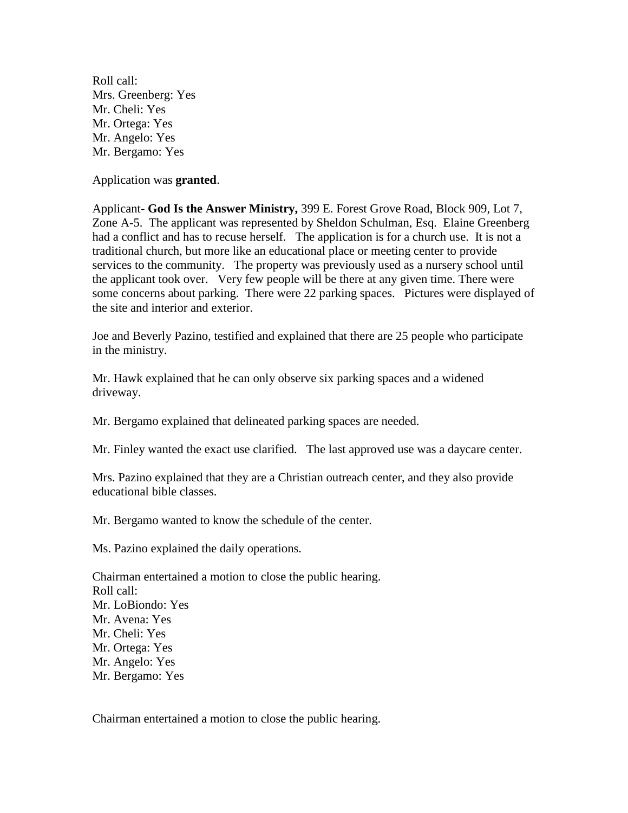Roll call: Mrs. Greenberg: Yes Mr. Cheli: Yes Mr. Ortega: Yes Mr. Angelo: Yes Mr. Bergamo: Yes

Application was **granted**.

Applicant- **God Is the Answer Ministry,** 399 E. Forest Grove Road, Block 909, Lot 7, Zone A-5. The applicant was represented by Sheldon Schulman, Esq. Elaine Greenberg had a conflict and has to recuse herself. The application is for a church use. It is not a traditional church, but more like an educational place or meeting center to provide services to the community. The property was previously used as a nursery school until the applicant took over. Very few people will be there at any given time. There were some concerns about parking. There were 22 parking spaces. Pictures were displayed of the site and interior and exterior.

Joe and Beverly Pazino, testified and explained that there are 25 people who participate in the ministry.

Mr. Hawk explained that he can only observe six parking spaces and a widened driveway.

Mr. Bergamo explained that delineated parking spaces are needed.

Mr. Finley wanted the exact use clarified. The last approved use was a daycare center.

Mrs. Pazino explained that they are a Christian outreach center, and they also provide educational bible classes.

Mr. Bergamo wanted to know the schedule of the center.

Ms. Pazino explained the daily operations.

Chairman entertained a motion to close the public hearing. Roll call: Mr. LoBiondo: Yes Mr. Avena: Yes Mr. Cheli: Yes Mr. Ortega: Yes Mr. Angelo: Yes Mr. Bergamo: Yes

Chairman entertained a motion to close the public hearing.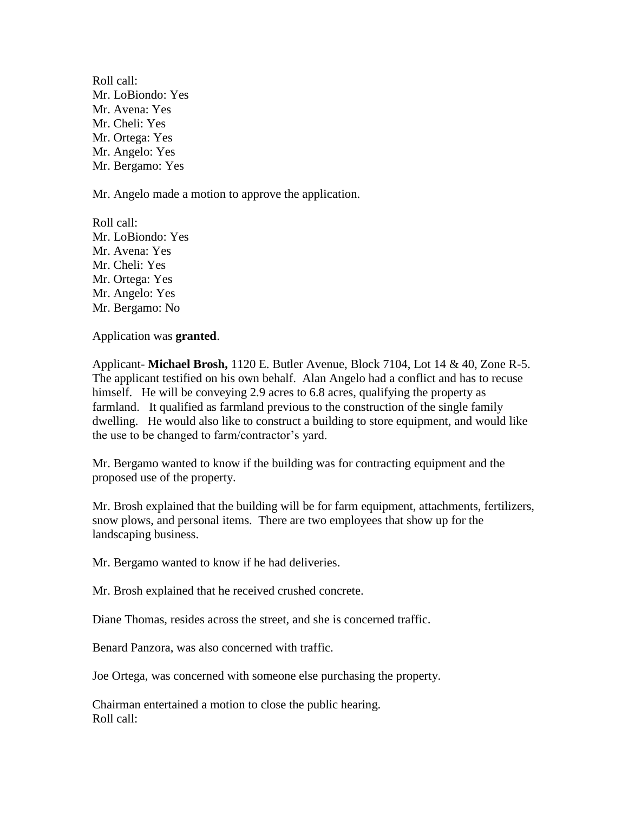Roll call: Mr. LoBiondo: Yes Mr. Avena: Yes Mr. Cheli: Yes Mr. Ortega: Yes Mr. Angelo: Yes Mr. Bergamo: Yes

Mr. Angelo made a motion to approve the application.

Roll call: Mr. LoBiondo: Yes Mr. Avena: Yes Mr. Cheli: Yes Mr. Ortega: Yes Mr. Angelo: Yes Mr. Bergamo: No

Application was **granted**.

Applicant- **Michael Brosh,** 1120 E. Butler Avenue, Block 7104, Lot 14 & 40, Zone R-5. The applicant testified on his own behalf. Alan Angelo had a conflict and has to recuse himself. He will be conveying 2.9 acres to 6.8 acres, qualifying the property as farmland. It qualified as farmland previous to the construction of the single family dwelling. He would also like to construct a building to store equipment, and would like the use to be changed to farm/contractor's yard.

Mr. Bergamo wanted to know if the building was for contracting equipment and the proposed use of the property.

Mr. Brosh explained that the building will be for farm equipment, attachments, fertilizers, snow plows, and personal items. There are two employees that show up for the landscaping business.

Mr. Bergamo wanted to know if he had deliveries.

Mr. Brosh explained that he received crushed concrete.

Diane Thomas, resides across the street, and she is concerned traffic.

Benard Panzora, was also concerned with traffic.

Joe Ortega, was concerned with someone else purchasing the property.

Chairman entertained a motion to close the public hearing. Roll call: